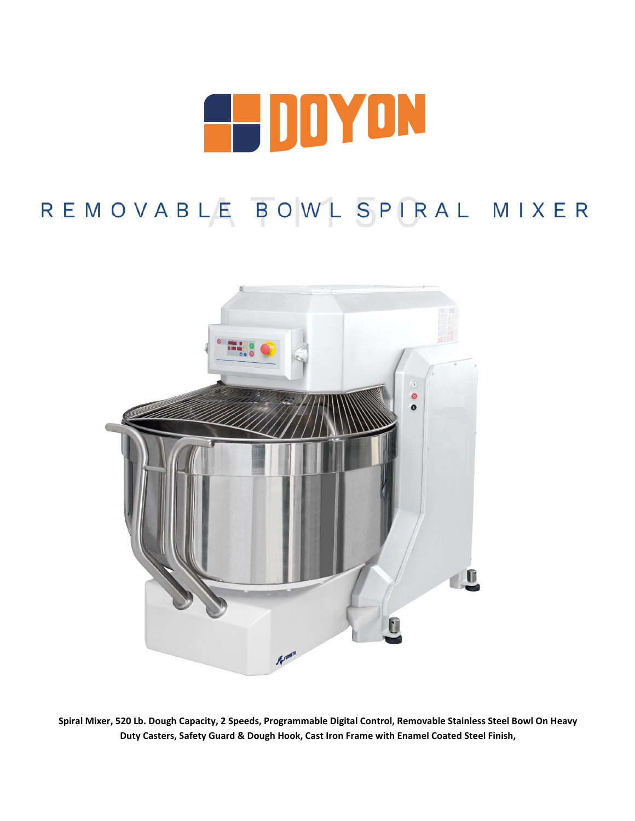

# REMOVABLE BOWL SPIRAL MIXER



**Spiral Mixer, 520 Lb. Dough Capacity, 2 Speeds, Programmable Digital Control, Removable Stainless Steel Bowl On Heavy Duty Casters, Safety Guard & Dough Hook, Cast Iron Frame with Enamel Coated Steel Finish,**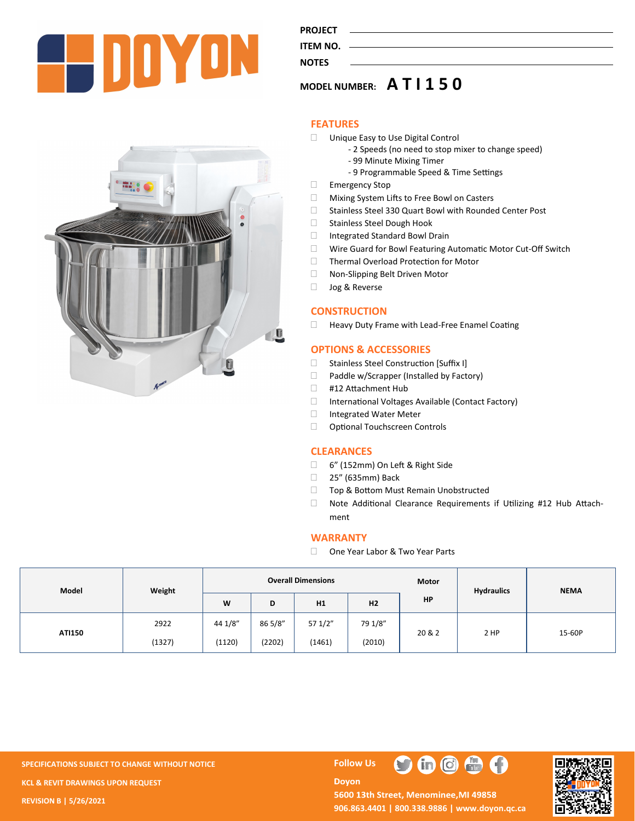

| <b>ROJE</b><br>р |
|------------------|
|------------------|

**ITEM NO. NOTES** 

## **MODEL NUMBER: A T I 1 5 0**

#### **FEATURES**

- □ Unique Easy to Use Digital Control
	- 2 Speeds (no need to stop mixer to change speed)
		- 99 Minute Mixing Timer
		- 9 Programmable Speed & Time Settings
- Emergency Stop
- Mixing System Lifts to Free Bowl on Casters
- □ Stainless Steel 330 Quart Bowl with Rounded Center Post
- □ Stainless Steel Dough Hook
- □ Integrated Standard Bowl Drain
- □ Wire Guard for Bowl Featuring Automatic Motor Cut-Off Switch
- Thermal Overload Protection for Motor
- □ Non-Slipping Belt Driven Motor
- □ Jog & Reverse

#### **CONSTRUCTION**

□ Heavy Duty Frame with Lead-Free Enamel Coating

#### **OPTIONS & ACCESSORIES**

- □ Stainless Steel Construction [Suffix I]
- Paddle w/Scrapper (Installed by Factory)
- □ #12 Attachment Hub
- □ International Voltages Available (Contact Factory)
- □ Integrated Water Meter
- □ Optional Touchscreen Controls

#### **CLEARANCES**

- 6" (152mm) On Left & Right Side
- 25" (635mm) Back
- □ Top & Bottom Must Remain Unobstructed
- $\Box$  Note Additional Clearance Requirements if Utilizing #12 Hub Attachment

#### **WARRANTY**

□ One Year Labor & Two Year Parts

| Model  | Weight | <b>Overall Dimensions</b> |         |        |                | Motor     | <b>Hydraulics</b> | <b>NEMA</b> |
|--------|--------|---------------------------|---------|--------|----------------|-----------|-------------------|-------------|
|        |        | W                         | D       | H1     | H <sub>2</sub> | <b>HP</b> |                   |             |
| ATI150 | 2922   | 44 1/8"                   | 86 5/8" | 571/2" | 79 1/8"        | 20 & 2    | 2 HP              | 15-60P      |
|        | (1327) | (1120)                    | (2202)  | (1461) | (2010)         |           |                   |             |

**SPECIFICATIONS SUBJECT TO CHANGE WITHOUT NOTICE FOLLOW US KCL & REVIT DRAWINGS UPON REQUEST REVISION B | 5/26/2021**

C

**Doyon** 



5600 13th Street, Menominee, MI 49858 **906.863.4401 | 800.338.9886 | [www.doyon.qc.ca](http://www.doyon.qc.ca/)**

 $\mathbf{G}$   $\mathbf{G}$   $\mathbf{G}$ 



 $\blacksquare$ 

Ū